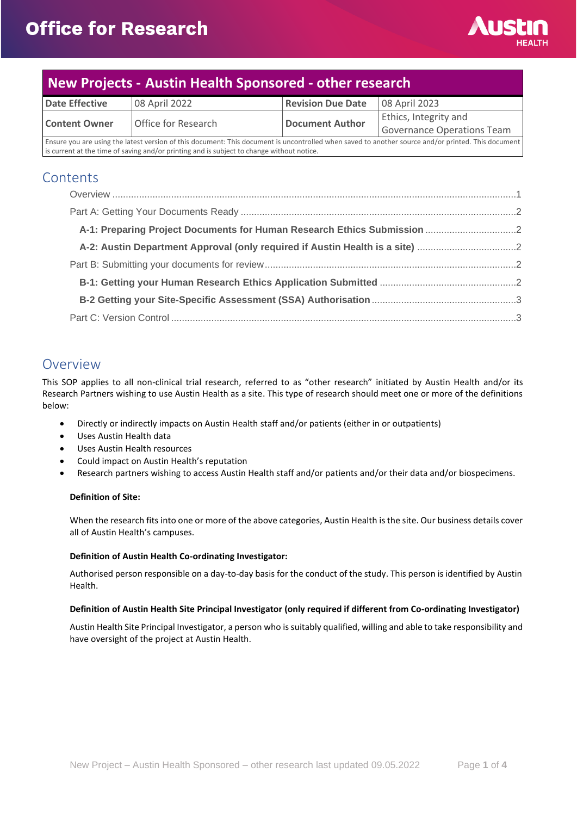

# **New Projects - Austin Health Sponsored - other research**

| Date Effective                                                                            | 08 April 2022                                                                                                                                      | <b>Revision Due Date</b> | 08 April 2023              |
|-------------------------------------------------------------------------------------------|----------------------------------------------------------------------------------------------------------------------------------------------------|--------------------------|----------------------------|
| <b>Content Owner</b>                                                                      | Office for Research                                                                                                                                | <b>Document Author</b>   | Ethics, Integrity and      |
|                                                                                           |                                                                                                                                                    |                          | Governance Operations Team |
|                                                                                           | Ensure you are using the latest version of this document: This document is uncontrolled when saved to another source and/or printed. This document |                          |                            |
| is current at the time of saving and/or printing and is subject to change without notice. |                                                                                                                                                    |                          |                            |

#### **Contents**

| A-2: Austin Department Approval (only required if Austin Health is a site) |  |
|----------------------------------------------------------------------------|--|
|                                                                            |  |
|                                                                            |  |
|                                                                            |  |
|                                                                            |  |

#### <span id="page-0-0"></span>Overview

This SOP applies to all non-clinical trial research, referred to as "other research" initiated by Austin Health and/or its Research Partners wishing to use Austin Health as a site. This type of research should meet one or more of the definitions below:

- Directly or indirectly impacts on Austin Health staff and/or patients (either in or outpatients)
- Uses Austin Health data
- Uses Austin Health resources
- Could impact on Austin Health's reputation
- Research partners wishing to access Austin Health staff and/or patients and/or their data and/or biospecimens.

#### **Definition of Site:**

When the research fits into one or more of the above categories, Austin Health is the site. Our business details cover all of Austin Health's campuses.

#### **Definition of Austin Health Co-ordinating Investigator:**

Authorised person responsible on a day-to-day basis for the conduct of the study. This person is identified by Austin Health.

#### **Definition of Austin Health Site Principal Investigator (only required if different from Co-ordinating Investigator)**

Austin Health Site Principal Investigator, a person who is suitably qualified, willing and able to take responsibility and have oversight of the project at Austin Health.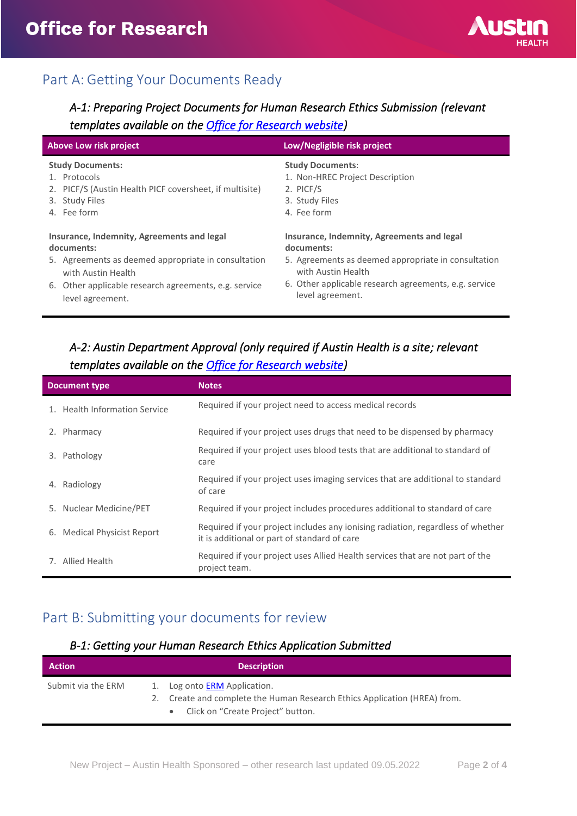

# <span id="page-1-0"></span>Part A: Getting Your Documents Ready

## <span id="page-1-1"></span>*A-1: Preparing Project Documents for Human Research Ethics Submission (relevant templates available on the [Office for Research website\)](https://www.austin.org.au/resources-for-researchers/)*

| Above Low risk project                                  | Low/Negligible risk project                           |
|---------------------------------------------------------|-------------------------------------------------------|
| <b>Study Documents:</b>                                 | <b>Study Documents:</b>                               |
| 1. Protocols                                            | 1. Non-HREC Project Description                       |
| 2. PICF/S (Austin Health PICF coversheet, if multisite) | 2. PICF/S                                             |
| 3. Study Files                                          | 3. Study Files                                        |
| 4. Fee form                                             | 4. Fee form                                           |
| Insurance, Indemnity, Agreements and legal              | Insurance, Indemnity, Agreements and legal            |
| documents:                                              | documents:                                            |
| 5. Agreements as deemed appropriate in consultation     | 5. Agreements as deemed appropriate in consultation   |
| with Austin Health                                      | with Austin Health                                    |
| 6. Other applicable research agreements, e.g. service   | 6. Other applicable research agreements, e.g. service |
| level agreement.                                        | level agreement.                                      |

### <span id="page-1-2"></span>*A-2: Austin Department Approval (only required if Austin Health is a site; relevant templates available on the [Office for Research website\)](https://www.austin.org.au/resources-for-researchers/)*

|    | <b>Document type</b>          | <b>Notes</b>                                                                                                                    |
|----|-------------------------------|---------------------------------------------------------------------------------------------------------------------------------|
|    | 1. Health Information Service | Required if your project need to access medical records                                                                         |
| 2. | Pharmacy                      | Required if your project uses drugs that need to be dispensed by pharmacy                                                       |
| 3. | Pathology                     | Required if your project uses blood tests that are additional to standard of<br>care                                            |
|    | 4. Radiology                  | Required if your project uses imaging services that are additional to standard<br>of care                                       |
|    | 5. Nuclear Medicine/PET       | Required if your project includes procedures additional to standard of care                                                     |
|    | 6. Medical Physicist Report   | Required if your project includes any ionising radiation, regardless of whether<br>it is additional or part of standard of care |
|    | 7. Allied Health              | Required if your project uses Allied Health services that are not part of the<br>project team.                                  |

## <span id="page-1-3"></span>Part B: Submitting your documents for review

#### <span id="page-1-4"></span>*B-1: Getting your Human Research Ethics Application Submitted*

| <b>Action</b>      | <b>Description</b>                                                                                                                                       |
|--------------------|----------------------------------------------------------------------------------------------------------------------------------------------------------|
| Submit via the ERM | 1. Log onto <b>ERM</b> Application.<br>Create and complete the Human Research Ethics Application (HREA) from.<br>2.<br>Click on "Create Project" button. |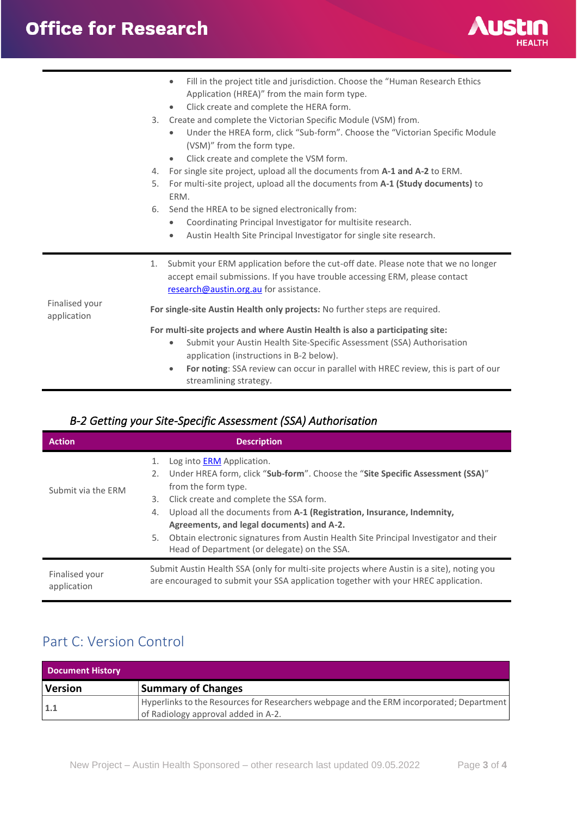# **Office for Research**



|                               | Fill in the project title and jurisdiction. Choose the "Human Research Ethics<br>$\bullet$<br>Application (HREA)" from the main form type.<br>Click create and complete the HERA form.<br>$\bullet$<br>Create and complete the Victorian Specific Module (VSM) from.<br>3.<br>Under the HREA form, click "Sub-form". Choose the "Victorian Specific Module<br>$\bullet$<br>(VSM)" from the form type.<br>Click create and complete the VSM form.<br>$\bullet$<br>For single site project, upload all the documents from A-1 and A-2 to ERM.<br>4.<br>For multi-site project, upload all the documents from A-1 (Study documents) to<br>5.<br>ERM.<br>Send the HREA to be signed electronically from:<br>6.<br>Coordinating Principal Investigator for multisite research.<br>$\bullet$<br>Austin Health Site Principal Investigator for single site research.<br>$\bullet$ |
|-------------------------------|----------------------------------------------------------------------------------------------------------------------------------------------------------------------------------------------------------------------------------------------------------------------------------------------------------------------------------------------------------------------------------------------------------------------------------------------------------------------------------------------------------------------------------------------------------------------------------------------------------------------------------------------------------------------------------------------------------------------------------------------------------------------------------------------------------------------------------------------------------------------------|
|                               | Submit your ERM application before the cut-off date. Please note that we no longer<br>1.<br>accept email submissions. If you have trouble accessing ERM, please contact<br>research@austin.org.au for assistance.                                                                                                                                                                                                                                                                                                                                                                                                                                                                                                                                                                                                                                                          |
| Finalised your<br>application | For single-site Austin Health only projects: No further steps are required.                                                                                                                                                                                                                                                                                                                                                                                                                                                                                                                                                                                                                                                                                                                                                                                                |
|                               | For multi-site projects and where Austin Health is also a participating site:<br>Submit your Austin Health Site-Specific Assessment (SSA) Authorisation<br>$\bullet$<br>application (instructions in B-2 below).<br>For noting: SSA review can occur in parallel with HREC review, this is part of our<br>$\bullet$<br>streamlining strategy.                                                                                                                                                                                                                                                                                                                                                                                                                                                                                                                              |

### <span id="page-2-0"></span>*B-2 Getting your Site-Specific Assessment (SSA) Authorisation*

| <b>Action</b>                 | <b>Description</b>                                                                                                                                                               |
|-------------------------------|----------------------------------------------------------------------------------------------------------------------------------------------------------------------------------|
|                               | Log into <b>ERM</b> Application.<br>1.                                                                                                                                           |
|                               | Under HREA form, click "Sub-form". Choose the "Site Specific Assessment (SSA)"<br>2.                                                                                             |
| Submit via the ERM            | from the form type.                                                                                                                                                              |
|                               | Click create and complete the SSA form.<br>3.                                                                                                                                    |
|                               | Upload all the documents from A-1 (Registration, Insurance, Indemnity,<br>4.                                                                                                     |
|                               | Agreements, and legal documents) and A-2.                                                                                                                                        |
|                               | Obtain electronic signatures from Austin Health Site Principal Investigator and their<br>5.                                                                                      |
|                               | Head of Department (or delegate) on the SSA.                                                                                                                                     |
| Finalised your<br>application | Submit Austin Health SSA (only for multi-site projects where Austin is a site), noting you<br>are encouraged to submit your SSA application together with your HREC application. |

## <span id="page-2-1"></span>Part C: Version Control

| <b>Document History</b> |                                                                                                                                 |
|-------------------------|---------------------------------------------------------------------------------------------------------------------------------|
| <b>Version</b>          | <b>Summary of Changes</b>                                                                                                       |
| 1.1                     | Hyperlinks to the Resources for Researchers webpage and the ERM incorporated; Department<br>of Radiology approval added in A-2. |